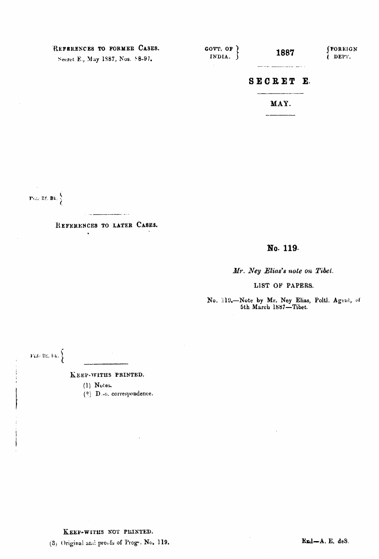| REFERENCES TO FORMER CASES.<br>Secret E., May 1887, Nos. 88-97. | GOVT. OF<br>INDIA. | 1887 | (FOREIGN<br>DEPT. |
|-----------------------------------------------------------------|--------------------|------|-------------------|
|                                                                 | SECRET E.          |      |                   |
|                                                                 |                    | MAY. |                   |

 $\text{Péde Rf, Bk.} \begin{cases} \frac{\zeta}{2} \end{cases}$ 

REFERENCES TO LATER CASES.

 $\ddot{\phantom{a}}$ 

\_\_\_\_\_\_\_\_\_\_\_\_\_\_\_\_

## No. 119.

Mr. Ney Elias's note on Tibet.

LIST OF PAPERS.

No. 119.-Note by Mr. Ney Elias, Poltl. Agent, of 5th March 1887-Tibet.

Fide Ri, Eg.  $\Big\}$ 

Í

 $\left| \right|$ 

KEEP-WITHS PRINTED.

 $(1)$  Notes.

 $(2)$  D.-o. correspondence.

KEEP-WITHS NOT PRINTED.

(3) Original and proofs of Proge, No. 119.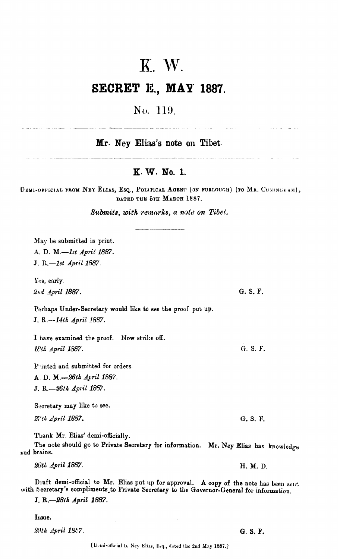# K. W.

# **SECRET IE., MAP' 1887.**

# No. 119.

 $Mr.$  **Ney Elias's note on Tibet.** 

## **K. \v\* No. l.**

DEMI-OFFICIAL FROM NEY ELIAS, ESQ., POLITICAL AGENT (ON FURLOUGH) (TO MR. CUNINGHAM),

*Submits, with rzinorks, a note* **on** *Tibef.*  rue oru **MARCH 1887.**<br> *remarks, a note on Tib*<br> **---- ------------**

May be submitted in print. A. D. **M.-1st** *April* **1887. J. R.-1st April 1887.** 

Yes, early. 2nd April 1887.

Perhaps Under-Secretary would like **to** see the proof put up. **J.** R.--1424 **April 18Q.** 

I have examined the proof. Now strike off. *l8LA April* **1887.** 

P-inted and submitted for orders

A. D. *M.-261h* **April 1587.**  J. R.-26th *April 1887*.

Secretary may like to see.

*27th April* **2887.** 

**Thank** Mr. **Elias'** demi-officially.

The note should go to Private Secretary for information. Mr. Ney Elias has knowledge **zud brains.** 

28th April 1887. H. M. D.

Draft demi-official to Mr. Elias put up for approval. A copy of the note has been sent with Secretary's compliments to Private Secretary to the Governor-General for information.

J. **R.-281A** *April* **1887.** 

Issue.

*2!lth April* **1557.** 

## G. S. F.

an a basar na bandar a bara a bailean an antara bailean a colair a colair a colair a cheangail a chean a baile

G. S. F.

G. S. F.

G. S. F.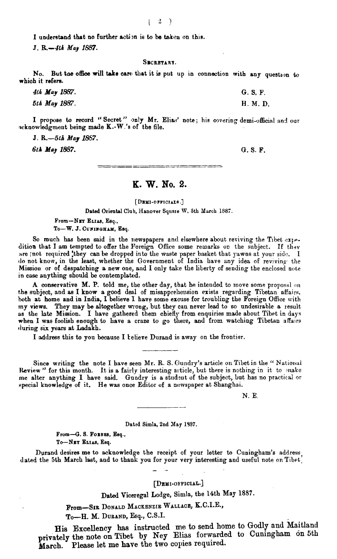I understand that no further action is to be taken on this.

**J. R.-4th** *Maj* **1887.** 

#### SECRETARY.

No. But the office will take care that it is put up in connection with any question to **whioh** it refers.

| 4th May 1887. | G.S.F.   |
|---------------|----------|
| 5th May 1887. | H. M. D. |

I propose to record "Secret" only Mr. Elias' note; his covering demi-official and our w:knowleclgmeut being made **K.-W.'s** of **the** file.

**J.** *R.-51B May* **1867.** 

**6th May 1887. G. S. F.** 

## **K. W. No. 2.**

[ DEMI-ОРРІСІАІВ.]

Dated Oriental Club, Hanover Square W. 5th March 1887.

From-NET ELIAS, Esq., To-W. J. CUNINGHAM, Esq.

So much has been said in the newspapers and elsewhere about reviving the Tibet expedition that I am tempted to offer the Foreign Office some remarks on the subject. If they are **;not required they can be dropped into the waste paper basket that yawns at your side. I** lo not know, in the least, whether the Government of India have any idea of reviving the Mission or of despatching a new one, and I only take the liberty of sending the enclosed note in **case** anything should be contemplakd.

A conservative M. P. told me, the other day, that he intended to move some proposal on the subject, and as I know a good deal of misapprehension exists regarding Tibetan affairs, hoth at home and in India, I believe 1 have some excuse for troubling the Foreign Office with my views. They may **be** altogether mong, but they can never lead to so undesirable a result as the late Mission. I have gathered them chiefly from enquiries made about Tibet in days when I was foolish enough to have a craze to go there, and from watching Tibetan affairs (luring six **pars** at Ladakh.

I **adclress** this to you because I telieve Durand io away on the frontier.

Since writing the note I have seen Mr. R. S. Gundry's article on Tibet in the "National Review " for this month. It is a fairly interesting article, but there is nothing in it to make me alter anything I have said. Gundry is a studeut of the subject, but has no practical or special knowledge of it. He was once Editor of a newspaper at Shanghai.

 $N. E.$ 

#### **Dabd Simla, 2nd May 1987.**

From-G. S. Forees, Esq.,  $To-NBT$  **ELIAS**, Esq.

Durand desires me to acknowledge the receipt of your letter to Cuningham's address, dated the 5th March last, and to thank you for your very interesting and useful note on Tibet.

#### [DEMI-OFFICIAL.]

Dated Viceregal Lodge, Simla, the 14th **May** 1887.

From-SIE **DONALD MACKENZIE WALLACE, K.C.I.E.,** 

To-H. M. **DUEAND, Esq., C.S.I.** 

His Excellency **has** instructed me to send home to Godly **and** Maitland privately the note on Tibet by Ney Elias forwarded to Cuningham on 5th March. Please let me have the two copies required.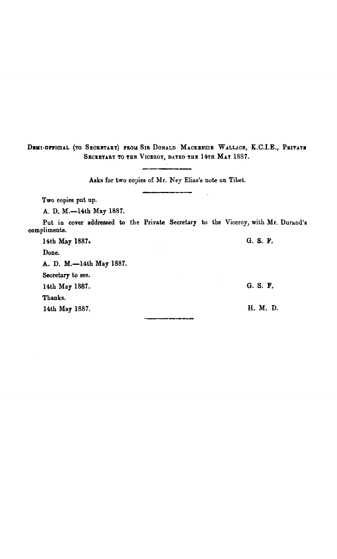DEMI-OFFICIAL (TO SECRETARY) FROM SIR DONALD MACKENZIE WALLACE, K.C.I.E., PRIVATE SECRETARY TO THE VICEROY, DATED THE 14TH MAY 1887.

Asks **for two copies of Mr.** Mey **Elias's note on Tiht.**  --

**Two copies put up,** 

**A. D. M.-14th May 1887.** 

**Put in cover addressed to the Private Secretary to the Viceroy, with Mr. Durand's compliments.** 

an an

**14th May 1887.** *G.* **S. F.** 

**Done. A. D. M.-14th May 1887.** 

**Secretary to see.** 

**14th May 1887.** 

**Thanks.** 

**14th May 1887.** 

G. S. F.

H. M. D.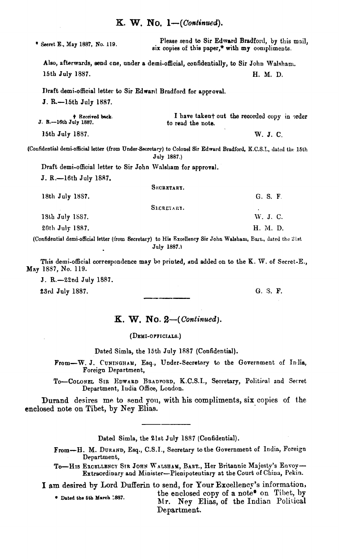**v Secret** E., **May 1887,** No. **119.** Please send to Sir **Edmsrd** Bradfortl, by this mail, six copies of this paper,\* with  $my$  compliments. Also, afterwards, eend cne, under a demi-official, confidentially, to Sir John Walsham. 15th July 1887. **H. M.** D. Draft demi-official letter to Sir Edward Bradford for approval. J. R.-15th July **1887. t** Received back.<br> **J. R.**-16th July 1887. I have takent out the recorded copy in order to read the note. W. J. C. 15th July 1887. (Coufidential demi-official letter **(from Under-Swretary)** to Colonel **Sir** Ednard Bradford, **IC.C.S.I., dated the 15th July 1887.)**  Draft demi-official letter to Sir John Walsham for approval. J. R.-16th July 1887. S**ECRETARY.** 18th July 1887. **G. S. F. G. S. F.** SECRETARY. **19th** July **1SS7.**  W. J. C. 20th July 1387. H. M. D.

(Confidential demi-official letter (from Secretary) to His Excellency Sir John Walsham, Bart., dated the 21st Jnly **1887.1** 

This demi-official correspondence may be printed, and added on to the K. W. of Secret-E., **May 1587,** No. 119.

J. R.-22nd July 1887.

**ZSrd** July 1887. *G.* S. **F.** 

## $K. W. No. 2—(Continued).$

#### (DEMI-OFFICIALS.)

Dated Simla, the 15th July 1887 (Confidential).

From-W. J. CUNINGHAM, **Esq.,** Under-Secretary to the Government of Inflia, Foreign Department,

To-COLONEL SIR EDWARD BRADFORD, K.C.S.I., Secretary, Political and Secret Department, ludia Office, London.

Durand desires me to send **you,** with his compliments, six copies of **the**  enclosed note on Tibet, by Ney **Elias.** 

Dated Simla, the 21st July 1887 (Confidential).

- From-H. M. DURAND, Esq., C.S.I., Secretary to the Government of India, Foreign Department,
- To-HIS EXCELLENCY SIR JOHN WALSHAM, BART., Her Britannic Majesty's Envoy-Extraordinary and Minister-Plenipotentiary at the Court of China, Pekin.

I am desired by Lord Dufferin to send, for Your Excellency's information,

**C** Dated the 5th March 1887. **the enclosed copy of a note\*** on Tibet, by Mr. Ney Elias, of the Indian Political Department.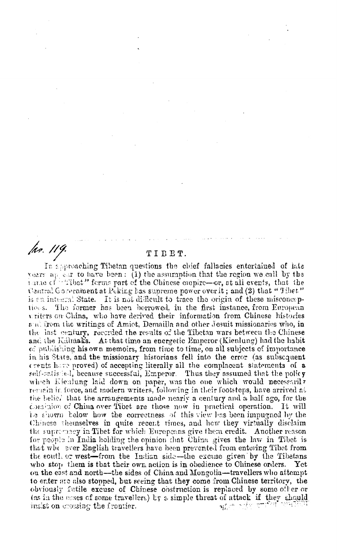/hr. 119.

### TIBET.

In approaching Tibetan questions the chief fallacies entertained of late vears appear to have been: (1) the assumption that the region we call by the turne of "Tibet" forms part of the Chinese coupire-or, at all events, that the Central Government at Peking has supreme power over it; and (2) that "Tibet" is en integral State. It is not difficult to trace the origin of these misconceptions. The former has been borrowed, in the first instance, from European vriters on China, who have derived their information from Chinese histories and from the writings of Amiet, Demailla and other Jesuit missionaries who, in the last century, recorded the results of the Tibetan wars between the Chinese and the Kalmaks. At that time an energetic Emperor (Kienlung) had the habit of publishing his own memoirs, from time to time, on all subjects of importance in his State, and the missionary historians fell into the error (as subsequent crents have proved) of accepting literally all the complacent statements of a self-satisfied, because successful, Emperor. Thus they assumed that the policy which Elenlung laid down on paper, was the one which would necessarily remain in force, and modern writers, following in their footsteps, have arrived at the belief that the arrangements made nearly a century and a half ago, for the consinion of China over Tibet are those now in practical operation. It will Le shown below how the correctness of this view has been impugned by the Chinese themselves in quite recent times, and how they virtually disclaim the supremacy in Tibet for which Europeans give them credit. Another reason for people in India holding the opinion that China gives the law in Tibet is that whe ever English travellers have been prevented from entering Tibet from the south or west-from the Indian side-the excuse given by the Tibetans who stop them is that their own action is in obedience to Chinese orders.  $\operatorname{\mathbf{Y}ct}$ on the east and north-the sides of China and Mongolia-travellers who attempt to enter are also stopped, but seeing that they come from Chinese territory, the obviously fatile excuse of Chinese obstruction is replaced by some other or (as in the cases of some travellers) by a simple threat of attack if they should insist on crossing the frontier.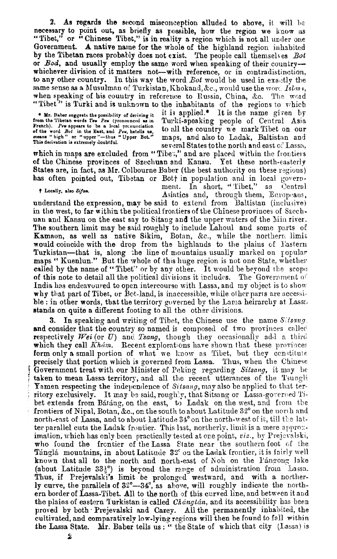2. As regards the second misconception alluded to above, it will be necessary to point out, as briefly as possible, how the region we know as "Tibet," or "Chinese Tibet," is in reality a region which is not all under one Government. A native name for the whole of the highland region inhabited by the Tibetan races probably does not exist. The people call themselves Bot or Bod, and usually employ the same word when speaking of their countrywhichever division of it matters not-with reference, or in contradistinction, to any other country. In this way the word Bot would be used in exactly the same sense as a Musulman of Turkistan, Khokand, &c., would use the word Islan, when speaking of his country in reference to Russia, China, &c. The word "Tibet" is Turki and is unknown to the inhabitants of the regions to vhich

• Mr. Baber suggests the possibility of deriving it<br>from the Tibetan words Tow Pew (pronounced as in<br>French). Pew appears to be a local pronunciation<br>of the word Bot in the East, and Pew, hetells us,<br>means "high" or "upper

it is applied.\* It is the name given by Turki-speaking people of Central Asia to all the country we mark Tibet on our maps, and also to Ladak, Baltistan and several States to the north and east of Lassa,

which in maps are excluded from "Tibes," and are placed within the frontiers of the Chinese provinces of Szechuan and Kansu. Yet these north-easterly States are, in fact, as Mr. Colbourne Baber (the best authority on these regions) has often pointed out, Tibetan or Bott in population and in local govern-

† Locally, also Sifan.

2

ment. In short, "Tibet,"  $a<sub>3</sub>$ Central Asiatics and, through them, Europeans,

understand the expression, may be said to extend from Baltistan (inclusive) in the west, to far within the political frontiers of the Chinese provinces of Szechuan and Kansu on the east say to Sitang and the upper waters of the Min river. The southern limit may be said roughly to include Lahoul and some parts of Kamaon, as well as native Sikim, Botan, &c., while the northern limit would coincide with the drop from the highlands to the plains of Eastern Turkistan—that is, along the line of mountains usually marked on popular maps "Kuenlun." But the whole of this huge region is not one State, whether called by the name of "Tibet" or by any other. It would be beyond the scope of this note to detail all the political divisions it includes. The Government of India has endeavoured to open intercourse with Lassa, and my object is to show why that part of Tibet, or Bot-land, is inaccessible, while other parts are accessible : in other words, that the territory governed by the Lama heirarchy at Lass. stands on quite a different footing to all the other divisions.

In speaking and writing of Tibet, the Chinese use the name Sitsang. and consider that the country so named is composed of two provinces called respectively Wei (or  $U$ ) and Tsang, though they occasionally add a third which they call Khám. Recent explorations have shown that these provinces form only a small portion of what we know as Tibet, but they constitute precisely that portion which is governed from Lassa. Thus, when the Chinese Government treat with our Minister of Peking regarding Sitsang, it may be taken to mean Lassa territory, and all the recent utterances of the Tsunghi **Yamen respecting the independence of Sitsang, may also be applied to that ter**ritory exclusively. It may be said, roughly, that Sitsang or Lassa-governed Tibet extends from Bátáng, on the east, to Ladak on the west, and from the frontiers of Nipal, Botan, &c., on the south to about Latitude 32° on the north and north-east of Lassa, and to about Latitude 34° on the north-west of it, till the latter parallel cuts the Ladak frontier. This last, northerly, limit is a mere approximation, which has only been practically tested at one point, viz., by Prejevalski, who found the frontier of the Lassa State near the southern foot of the Tánglá mountains, in about Latitude 32° on the Ladak frontier, it is fairly well known that all to the north and north-east of Noh on the Pangong lake (about Latitude  $33\frac{1}{2}^{\circ}$ ) is beyond the range of administration from Lassa.<br>Thus, if Prejevalski's limit be prolonged westward, and with a norther-<br>ly curve, the parallels of  $32^{\circ}$ --34°, as above, will roughly i ern border of Lassa-Tibet. All to the north of this curved line, and between it and the plains of eastern Turkistan is called *Chángtán*, and its accessibility has been proved by both Prejevalski and Carey. All the permanently inhabited, the cultivated, and comparatively low-lying regions will then be found to fall within Mr. Baber tells us: " the State of which that city (Lassa) is the Lassa State.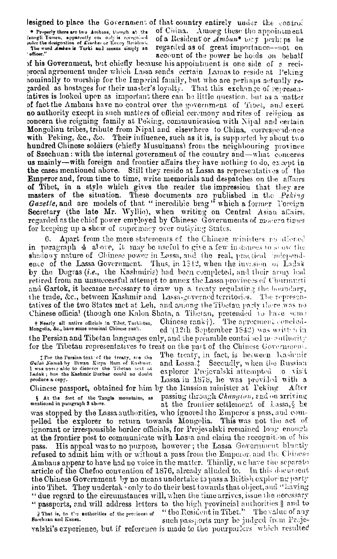lesigned to place the Government of that country entirely under the control

\* Properly there are two Ambans, though at the latingli Yanuen, apparently ene only is receiptived The word Amban is Turki and means simply an ' officer.'

of China. Among these the appointment of a Resident or Amban\* 106.y perhaps be regarded as of great importance--not on account of the power he holds on behalf

of his Government, but chiefly because his appointment is one side of a reciprocal agreement under which Lassa sends certain Lamas to reside at Peking nominally to worship for the Imperial family, but who are perhaps actually regarded as hostages for their master's loyalty. That this exchange of representatives is looked upon as important there can be little question, but as a matter of fact the Ambans have no control over the government of Tibet, and exert no authority except in such matters of efficial ceremony and rites of religion as concern the reigning family at Peking, communication with Nipal and certain Mongolian tribes, tribute from Nipal and elsewhere to China, correspondence with Peking, &c., &c. Their influence, such as it is, is supported by about two hundred Chinese soldiers (chiefly Musulmans) from the neighbouring province of Szechuan: with the internal government of the country and—what concerns us mainly—with foreign and frontier affairs they have nothing to do, except in the cases mentioned above. Still they reside at Lassa as representatives of the Emperor and, from time to time, write memorials and despatches on the affairs of Tibet, in a style which gives the reader the impression that they are masters of the situation. These documents are published in the Peking Gazette, and are models of that "incredible brag" which a former Toreign Secretary (the late Mr. Wyllie), when writing on Central Asian affairs, regarded as the chief power employed by Chinese Governments of modern times for keeping up a show of supremacy over outlying States.

Apart from the mere statements of the Chinese ministers requiremed 6. in paragraph 4 above, it may be useful to give a few instances to show the shadowy nature of Chinese power in Lassa, and the real, practical independence of the Lassa Government. Thus, in 1842, when the invasion of Ladak by the Dogras *(i.e.*, the Kashmiris) had been completed, and their army had retired from an unsuccessful attempt to annex the Lassa provinces of Churmanti and Gartok, it became necessary to draw up a treaty regulating the boundary, the trade, &c., between Kashmir and Lassa-governed territories. The representatives of the two States met at Leh, and among the Tibetan party there was no Chinese official (though one Kalon Shata, a Tibetan, pretended to have some The agreement conclud-Chinese  $rank_1$ . + Nearly all native officials in Tibet, Turkistan, Mongolia, &c., have some nominal Chinese rank. ed (12th September 1842) was written in

the Persian and Tibetan languages only, and the preamble contained no authority for the Tibetan representatives to treat on the part of the Chinese Government.

I For the Persian text of the treaty, see the Gulab Namak by Diwan Kirpa Ram of Kashmir.<br>I was naver able to discover the Tibetan west at Ladak; but the Kashmir Durbar could no doubt produce a copy.

The treaty, in fact, is between Kashmir and Lassa. Secondly, when the Russian explorer Prejevalski attempted to visit Lassa in 1878, he was provided with a Chinese passport, obtained for him by the Eussian minister at Peking. After

§ At the foot of the Tangle mountains, as mentioned in paragraph 3 above.

passing through Changton, and on arriving at the frontier settlement of Lassa, & he

was stopped by the Lassa authorities, who ignored the Emperor's pass, and compelled the explorer to return towards Mongolia. This was not the act of ignorant or irresponsible border officials, for Prejevalski remained long enough at the frontier post to communicate with Lassa and claim the recognition of his His appeal was to no purpose, however; the Lassa Government bluntly pass. refused to admit him with or without a pass from the Emperor, and the Chinese Ambans appear to have had no voice in the matter. Thirdly, we have the separate article of the Chefoo convention of 1876, already alluded to. In this document the Chinese Government by no means undertake to pass a British exploring party into Tibet. They undertake only to do their best towards that object, and "having " due regard to the circumstances will, when the time arrives, issue the necessary " passports, and will address letters to the high provincial authorities || and to "the Resident in Tibet." The value of any il That is, to the authorities of the provinces of Brechusn and Kansu. such passports may be judged from Proje-

valski's experience, but if reference is made to the pourparlers which resulted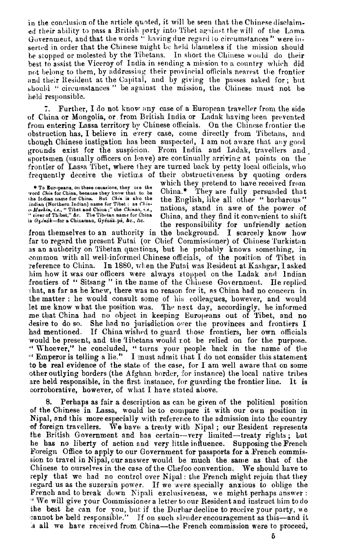in the conclusion of the article quoted, it will be seen that the Chinese disclaimed their ability to pass a British party into Tibet against the will of the Lama Government, and that the words " having due regard to circumstances" were inserted in order that the Chinese might be held blameless if the mission should be stopped or molested by the Tibetans. In short the Chinese would do their best to assist the Viceroy of India in sending a mission to a country which did not belong to them, by addressing their provincial officials nearest the frontier and their Resident at the Capital, and by giving the passes asked for; but should "circumstances" be against the mission, the Chinese must not be held responsible.

Further, I do not know any case of a European traveller from the side 7. of China or Mongolia, or from British India or Ladak having been prevented from entering Lassa territory by Chinese officials. On the Chinese frontier the obstruction has, I believe in every case, come directly from Tibetans, and though Chinese instigation has been suspected, I am not aware that any good grounds exist for the suspicion. From India and Ladak, travellers and sportsmen (usually officers on leave) are continually arriving at points on the frontier of Lassa Tibet, where they are turned back by petty local officials, who frequently deceive the victims of their obstructiveness by quoting orders

<sup>e</sup> To Europeans, on these occasions, they use the To Establish the China, because they know that to be<br>the Irdian name for China, because they know that to be<br>the Irdian name for China. But *Chin* is also the<br>indian (Northern Indian) name for Tibet: as *China*,<br> $v$ -*Meeki* is Gyénák-for a Chinaman, Gyénák pá, &c., /tc.

which they pretend to have received from China.\* They are fully persuaded that the English, like all other "barbarous" nations, stand in awe of the power of China, and they find it convenient to shift the responsibility for unfriendly action

from themselves to an authority in the background. I scarcely know how far to regard the present Futai (or Chief Commissioner) of Chinese Turkistan as an authority on Tibetan questions, but he probably knows something, in common with all well-informed Chinese officials, of the position of Tibet in reference to China. In 1880, when the Futai was Resident at Kashgar, I asked him how it was our officers were always stopped on the Ladak and Indian frontiers of "Sitsang" in the name of the Chinese Government. He replied that, as far as he knew, there was no reason for it, as China had no concern in the matter : he would consult some of his colleagues, however, and would let me know what the position was. The next day, accordingly, he informed me that China had no object in keeping Europeans out of Tibet, and no She had no jurisdiction over the provinces and frontiers I If China wished to guard those frontiers, her own officials desire to do so. had mentioned. would be present, and the Tibetans would not be relied on for the purpose. "Whoever," he concluded, "turns your people back in the name of the "Emperor is telling a lie." I must admit that I do not consider this statement to be real evidence of the state of the case, for I am well aware that on some other outlying borders (the Afghan border, for instance) the local native tribes are held responsible, in the first instance, for guarding the frontier line. It is corroborative, however, of what I have stated above.

Perhaps as fair a description as can be given of the political position of the Chinese in Lassa, would be to compare it with our own position in Nipal, and this more especially with reference to the admission into the country of foreign travellers. We have a treaty with Nipal; our Resident represents the British Government and has certain--very limited-treaty rights; but he has no liberty of action and very little influence. Supposing the French Foreign Office to apply to our Government for passports for a French commission to travel in Nipal, our answer would be much the same as that of the Chinese to ourselves in the case of the Chefoo convention. We should have to reply that we had no control over Nipal: the French might rejoin that they regard us as the suzerain power. If we were specially anxious to oblige the French and to break down Nipali exclusiveness, we might perhaps answer: "We will give your Commissioner a letter to our Resident and instruct him to do the best he can for you, but if the Durbar decline to receive your party, we cannot be beld responsible." If on such slender encouragement as this—and it **a** all we have received from China—the French commission were to proceed,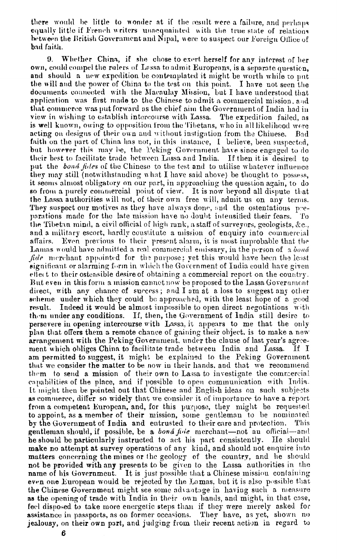there would be little to wonder at if the result were a failure, and perhaps equally little if French writers unacquainted with the true state of relations between the British Government and Nipal, were to suspect our Foreign Office of bad faith.

Whether China, if she chose to exert herself for any interest of her 9. own, could compel the rulers of Lassa to admit Europeans, is a separate question, and should a new expedition be contemplated it might be worth while to put the will and the power of China to the test on this point. I have not seen the documents connected with the Macaulay Mission, but I have understood that application was first made to the Chinese to admit a commercial mission, and that commerce was put forward as the chief aim the Government of India had in view in wishing to establish intercourse with Lassa. The expedition failed, as is well known, owing to opposition from the Tibetans, who in all likelihood were acting on designs of their own and without instigation from the Chinese. Bad faith on the part of China has not, in this instance, I believe, been suspected, but however this may be, the Peking Government have since engaged to do their best to facilitate trade between Lassa and India. If then it is desired to put the bond fides of the Chinese to the test and to utilise whatever influence they may still (notwithstanding what I have said above) be thought to possess, it seems almost obligatory on our part, in approaching the question again, to do so from a purely commercial point of view. It is now beyond all dispute that the Lassa authorities will not, of their own free will, admit us on any terms. They suspect our motives as they have always done, and the ostentations preparations made for the late mission have no doubt intensitied their fears. To the Tibetan mind, a civil official of high rank, a staff of surveyors, geologists, &c., and a military escort, hardly constitute a mission of enquiry into commercial Even previous to their present alarm, it is most improbable that the affairs. Lamas would have admitted a real commercial emissary, in the person of a bond  $\hat{\mu}$  de merchant appointed for the purpose; yet this would have been the least significant or alarming form in which the Government of India could have given effect to their ostensible desire of obtaining a commercial report on the country. But even in this form a mission cannot now be proposed to the Lassa Government direct, with any chance of success; and I am at a loss to suggest any other scheme under which they could be approached, with the least hope of a good. Indeed it would be almost impossible to open direct negotiations with result. them under any conditions. If, then, the Government of India still desire to persevere in opening intercourse with Lassa, it appears to me that the only plan that offers them a remote chance of gaining their object, is to make a new arrangement with the Peking Government, under the clause of last year's agreement which obliges China to facilitate trade between India and Lassa. If I am permitted to suggest, it might be explained to the Peking Government that we consider the matter to be now in their hands, and that we recommend them to send a mission of their own to Lassa to investigate the commercial capabilities of the place, and if possible to open communication with India. It might then be pointed out that Chinese and English ideas on such subjects as commerce, differ so widely that we consider it of importance to have a report from a competent European, and, for this purpose, they might be requested to appoint, as a member of their mission, some gentleman to be nominated by the Government of India and entrusted to their care and protection. This gentleman should, if possible, be a boná fide merchant—not an official—and he should be particularly instructed to act his part consistently. He should make no attempt at survey operations of any kind, and should not enquire into matters concerning the mines or the geology of the country, and he should not be provided with any presents to be given to the Lassa authorities in the name of his Government. It is just possible that a Chinese mission containing even one European would be rejected by the Lamas, but it is also possible that the Chinese Government might see some advantage in having such a measure as the opening of trade with India in their own hands, and might, in that case, feel disposed to take more energetic steps than if they were merely asked for assistance in passports, as on former occasions. They have, as yet, shown no jealousy, on their own part, and judging from their recent action in regard to